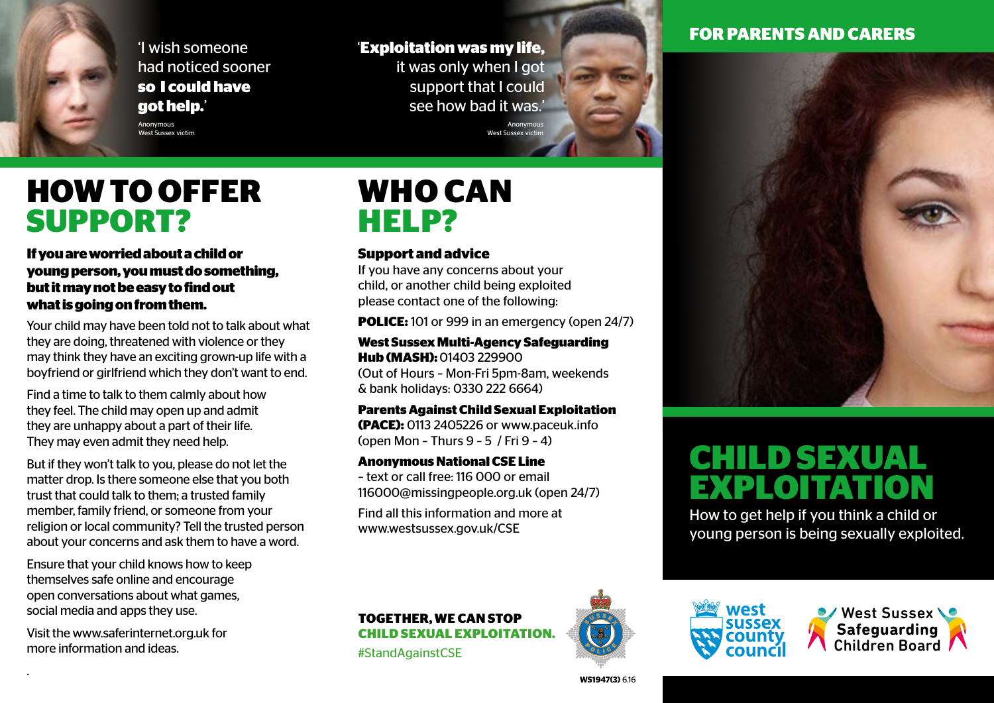'I wish someone had noticed sooner **so I could have got help.**'

### '**Exploitation was my life,**

it was only when I got support that I could see how bad it was.' Anonymous West Sussex vict

### **FOR PARENTS AND CARERS**

Anonymous West Sussex victim

## **HOW TO OFFER SUPPORT?**

**If you are worried about a child or young person, you must do something, but it may not be easy to find out what is going on from them.**

Your child may have been told not to talk about what they are doing, threatened with violence or they may think they have an exciting grown-up life with a boyfriend or girlfriend which they don't want to end.

Find a time to talk to them calmly about how they feel. The child may open up and admit they are unhappy about a part of their life. They may even admit they need help.

But if they won't talk to you, please do not let the matter drop. Is there someone else that you both trust that could talk to them; a trusted family member, family friend, or someone from your religion or local community? Tell the trusted person about your concerns and ask them to have a word.

Ensure that your child knows how to keep themselves safe online and encourage open conversations about what games, social media and apps they use.

Visit the www.saferinternet.org.uk for more information and ideas.

.

## **WHO CAN HELP?**

### **Support and advice**

If you have any concerns about your child, or another child being exploited please contact one of the following:

**POLICE:** 101 or 999 in an emergency (open 24/7)

**West Sussex Multi-Agency Safeguarding Hub (MASH):** 01403 229900 (Out of Hours – Mon-Fri 5pm-8am, weekends & bank holidays: 0330 222 6664)

**Parents Against Child Sexual Exploitation (PACE):** 0113 2405226 or www.paceuk.info (open Mon – Thurs 9 – 5 / Fri 9 – 4)

**Anonymous National CSE Line**

– text or call free: 116 000 or email 116000@missingpeople.org.uk (open 24/7)

Find all this information and more at www.westsussex.gov.uk/CSE



## **CHILD SEXUAL EXPLOITATION**

How to get help if you think a child or young person is being sexually exploited.



#StandAgainstCSE